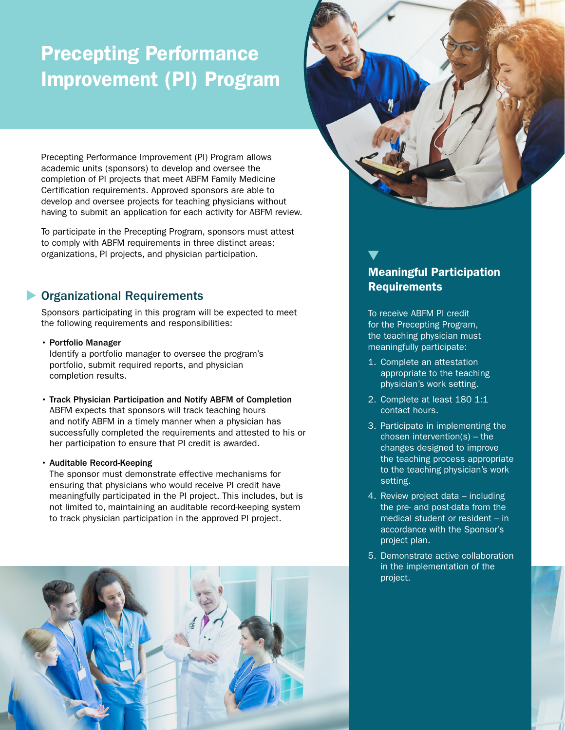# Precepting Performance Improvement (PI) Program



Precepting Performance Improvement (PI) Program allows academic units (sponsors) to develop and oversee the completion of PI projects that meet ABFM Family Medicine Certification requirements. Approved sponsors are able to develop and oversee projects for teaching physicians without having to submit an application for each activity for ABFM review.

To participate in the Precepting Program, sponsors must attest to comply with ABFM requirements in three distinct areas: organizations, PI projects, and physician participation.

# Organizational Requirements

Sponsors participating in this program will be expected to meet the following requirements and responsibilities:

• Portfolio Manager

Identify a portfolio manager to oversee the program's portfolio, submit required reports, and physician completion results.

• Track Physician Participation and Notify ABFM of Completion ABFM expects that sponsors will track teaching hours and notify ABFM in a timely manner when a physician has successfully completed the requirements and attested to his or her participation to ensure that PI credit is awarded.

#### • Auditable Record-Keeping

The sponsor must demonstrate effective mechanisms for ensuring that physicians who would receive PI credit have meaningfully participated in the PI project. This includes, but is not limited to, maintaining an auditable record-keeping system to track physician participation in the approved PI project.



# Meaningful Participation **Requirements**

To receive ABFM PI credit for the Precepting Program, the teaching physician must meaningfully participate:

- 1. Complete an attestation appropriate to the teaching physician's work setting.
- 2. Complete at least 180 1:1 contact hours.
- 3. Participate in implementing the chosen intervention(s) – the changes designed to improve the teaching process appropriate to the teaching physician's work setting.
- 4. Review project data including the pre- and post-data from the medical student or resident – in accordance with the Sponsor's project plan.
- 5. Demonstrate active collaboration in the implementation of the project.